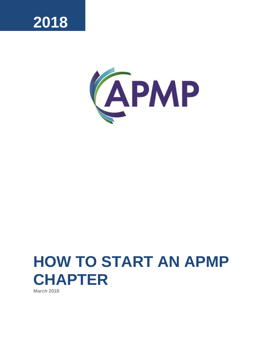

<span id="page-0-0"></span>

# **HOW TO START AN APMP CHAPTER**

**March 2018**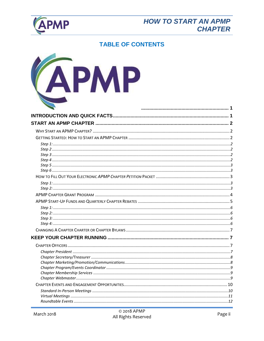

# **HOW TO START AN APMP CHAPTER**

# **TABLE OF CONTENTS**

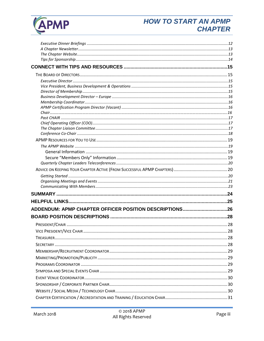

# **HOW TO START AN APMP CHAPTER**

| ADDENDUM: APMP CHAPTER OFFICER POSITION DESCRIPTIONS26 |  |
|--------------------------------------------------------|--|
|                                                        |  |
|                                                        |  |
|                                                        |  |
|                                                        |  |
|                                                        |  |
|                                                        |  |
|                                                        |  |
|                                                        |  |
|                                                        |  |
|                                                        |  |
|                                                        |  |
|                                                        |  |
|                                                        |  |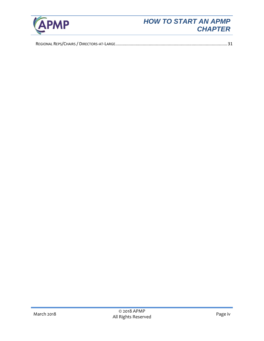

# *HOW TO START AN APMP CHAPTER*

|--|--|--|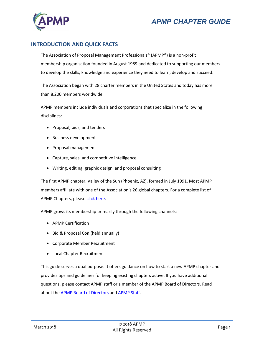

# <span id="page-4-0"></span>**INTRODUCTION AND QUICK FACTS**

The Association of Proposal Management Professionals® (APMP®) is a non-profit membership organisation founded in August 1989 and dedicated to supporting our members to develop the skills, knowledge and experience they need to learn, develop and succeed.

The Association began with 28 charter members in the United States and today has more than 8,200 members worldwide.

APMP members include individuals and corporations that specialize in the following disciplines:

- Proposal, bids, and tenders
- Business development
- Proposal management
- Capture, sales, and competitive intelligence
- Writing, editing, graphic design, and proposal consulting

The first APMP chapter, Valley of the Sun (Phoenix, AZ), formed in July 1991. Most APMP members affiliate with one of the Association's 26 global chapters. For a complete list of APMP Chapters, pleas[e click here.](http://www.apmp.org/?page=ChaptersHome)

APMP grows its membership primarily through the following channels:

- APMP Certification
- Bid & Proposal Con (held annually)
- Corporate Member Recruitment
- Local Chapter Recruitment

This guide serves a dual purpose. It offers guidance on how to start a new APMP chapter and provides tips and guidelines for keeping existing chapters active. If you have additional questions, please contact APMP staff or a member of the APMP Board of Directors. Read about th[e APMP Board of Directors](https://www.apmp.org/page/apmpBoardDirectors18?) and [APMP Staff.](http://www.apmp.org/?page=APMPStaff)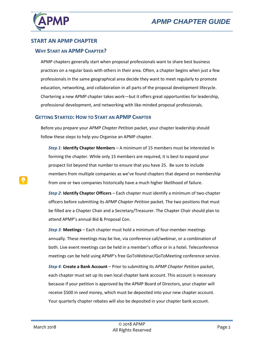

## <span id="page-5-0"></span>**START AN APMP CHAPTER**

#### <span id="page-5-1"></span>**WHY START AN APMP CHAPTER?**

APMP chapters generally start when proposal professionals want to share best business practices on a regular basis with others in their area. Often, a chapter begins when just a few professionals in the same geographical area decide they want to meet regularly to promote education, networking, and collaboration in all parts of the proposal development lifecycle. Chartering a new APMP chapter takes work—but it offers great opportunities for leadership, professional development, and networking with like-minded proposal professionals.

#### <span id="page-5-2"></span>**GETTING STARTED: HOW TO START AN APMP CHAPTER**

Before you prepare your *APMP Chapter Petition* packet, your chapter leadership should follow these steps to help you Organise an APMP chapter.

<span id="page-5-3"></span>*Step 1*: **Identify Chapter Members** – A minimum of 15 members must be interested in forming the chapter. While only 15 members are required, it is best to expand your prospect list beyond that number to ensure that you have 25. Be sure to include members from multiple companies as we've found chapters that depend on membership from one or two companies historically have a much higher likelihood of failure.

<span id="page-5-4"></span>*Step 2*: **Identify Chapter Officers** – Each chapter must identify a minimum of two-chapter officers before submitting its *APMP Chapter Petition* packet*.* The two positions that must be filled are a Chapter Chair and a Secretary/Treasurer. The Chapter Chair should plan to attend APMP's annual Bid & Proposal Con.

<span id="page-5-5"></span>*Step 3*: **Meetings** – Each chapter must hold a minimum of four-member meetings annually. These meetings may be live, via conference call/webinar, or a combination of both. Live event meetings can be held in a member's office or in a hotel. Teleconference meetings can be held using APMP's free GoToWebinar/GoToMeeting conference service.

<span id="page-5-6"></span>*Step 4*: **Create a Bank Account** – Prior to submitting its *APMP Chapter Petition* packet, each chapter must set up its own local chapter bank account. This account is necessary because if your petition is approved by the APMP Board of Directors, your chapter will receive \$500 in *seed* money, which must be deposited into your new chapter account. Your quarterly chapter rebates will also be deposited in your chapter bank account.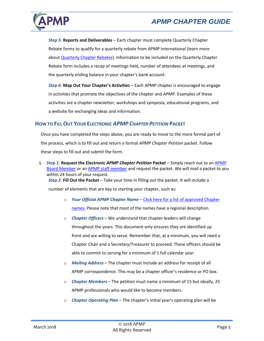

<span id="page-6-0"></span>*Step 5*: **Reports and Deliverables** – Each chapter must complete Quarterly Chapter Rebate forms to qualify for a quarterly rebate from APMP International (learn more about [Quarterly Chapter Rebates\)](#page-8-0). Information to be included on the Quarterly Chapter Rebate form includes a recap of meetings held, number of attendees at meetings, and the quarterly ending balance in your chapter's bank account.

<span id="page-6-1"></span>*Step 6*: **Map Out Your Chapter's Activities** – Each APMP chapter is encouraged to engage in activities that promote the objectives of the chapter and APMP. Examples of these activities are a chapter newsletter, workshops and symposia, educational programs, and a website for exchanging ideas and information.

# <span id="page-6-2"></span>**HOW TO FILL OUT YOUR ELECTRONIC** *APMP CHAPTER PETITION* **PACKET**

Once you have completed the steps above, you are ready to move to the more formal part of the process, which is to fill out and return a formal *APMP Chapter Petition* packet. Follow these steps to fill out and submit the form.

<span id="page-6-3"></span>1. *Step 1:* **Request the Electronic** *APMP Chapter Petition* **Packet** – Simply reach out to an [APMP](http://www.apmp.org/?page=apmpBoardOfDirectors)  [Board Member](http://www.apmp.org/?page=apmpBoardOfDirectors) or an APMP [staff member](http://www.apmp.org/?page=APMPStaff) and request the packet. We will mail a packet to you within 24 hours of your request.

<span id="page-6-4"></span>*Step 2:* **Fill Out the Packet** – Take your time in filling out the packet. It will include a number of elements that are key to starting your chapter, such as:

- o *Your Official APMP Chapter Name* [Click here for a list of approved Chapter](http://www.apmp.org/?page=ChaptersHome)  [names.](http://www.apmp.org/?page=ChaptersHome) Please note that most of the names have a regional description.
- o *Chapter Officers* We understand that chapter leaders will change throughout the years. This document only ensures they are identified up front and are willing to serve. Remember that, at a minimum, you will need a Chapter Chair and a Secretary/Treasurer to proceed. These officers should be able to commit to serving for a minimum of 1 full calendar year.
- o *Mailing Address* The chapter must include an address for receipt of all APMP correspondence. This may be a chapter officer's residence or PO box.
- o *Chapter Members* The petition must name a minimum of 15 but ideally, 25 APMP professionals who would like to become members.
- o *Chapter Operating Plan* The chapter's initial year's operating plan will be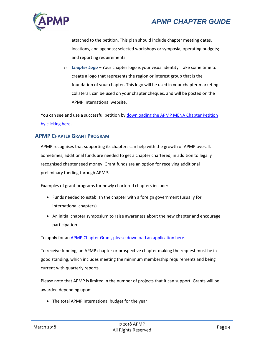

attached to the petition. This plan should include chapter meeting dates, locations, and agendas; selected workshops or symposia; operating budgets; and reporting requirements.

o *Chapter Logo* – Your chapter logo is your visual identity. Take some time to create a logo that represents the region or interest group that is the foundation of your chapter. This logo will be used in your chapter marketing collateral, can be used on your chapter cheques, and will be posted on the APMP International website.

You can see and use a successful petition b[y downloading the](https://www.apmp.org/resource/resmgr/chapter_leader_resources/APMP_Chapter_Petition_-_MENA.pdf) APMP MENA Chapter Petition [by clicking here.](https://www.apmp.org/resource/resmgr/chapter_leader_resources/APMP_Chapter_Petition_-_MENA.pdf)

## <span id="page-7-0"></span>**APMP CHAPTER GRANT PROGRAM**

APMP recognises that supporting its chapters can help with the growth of APMP overall. Sometimes, additional funds are needed to get a chapter chartered, in addition to legally recognised chapter seed money. Grant funds are an option for receiving additional preliminary funding through APMP.

Examples of grant programs for newly chartered chapters include:

- Funds needed to establish the chapter with a foreign government (usually for international chapters)
- An initial chapter symposium to raise awareness about the new chapter and encourage participation

To apply for an [APMP Chapter Grant, please download an application here.](https://www.apmp.org/page/ChapterGrantPgrm)

To receive funding, an APMP chapter or prospective chapter making the request must be in good standing, which includes meeting the minimum membership requirements and being current with quarterly reports.

Please note that APMP is limited in the number of projects that it can support. Grants will be awarded depending upon:

• The total APMP International budget for the year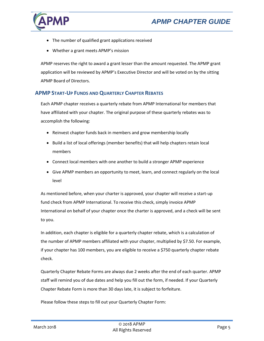

- The number of qualified grant applications received
- Whether a grant meets APMP's mission

APMP reserves the right to award a grant lesser than the amount requested. The APMP grant application will be reviewed by APMP's Executive Director and will be voted on by the sitting APMP Board of Directors.

# <span id="page-8-0"></span>**APMP START-UP FUNDS AND QUARTERLY CHAPTER REBATES**

Each APMP chapter receives a quarterly rebate from APMP International for members that have affiliated with your chapter. The original purpose of these quarterly rebates was to accomplish the following:

- Reinvest chapter funds back in members and grow membership locally
- Build a list of local offerings (member benefits) that will help chapters retain local members
- Connect local members with one another to build a stronger APMP experience
- Give APMP members an opportunity to meet, learn, and connect regularly on the local level

As mentioned before, when your charter is approved, your chapter will receive a start-up fund check from APMP International. To receive this check, simply invoice APMP International on behalf of your chapter once the charter is approved, and a check will be sent to you.

In addition, each chapter is eligible for a quarterly chapter rebate, which is a calculation of the number of APMP members affiliated with your chapter, multiplied by \$7.50. For example, if your chapter has 100 members, you are eligible to receive a \$750 quarterly chapter rebate check.

Quarterly Chapter Rebate Forms are always due 2 weeks after the end of each quarter. APMP staff will remind you of due dates and help you fill out the form, if needed. If your Quarterly Chapter Rebate Form is more than 30 days late, it is subject to forfeiture.

Please follow these steps to fill out your Quarterly Chapter Form: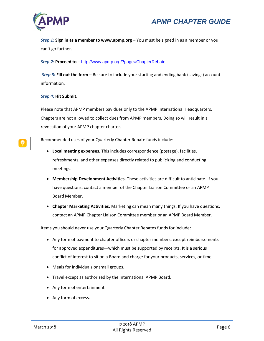

<span id="page-9-0"></span>*Step 1*: **Sign in as a member to www.apmp.org** – You must be signed in as a member or you can't go further.

#### <span id="page-9-1"></span>*Step 2*: **Proceed to** – [http://www.apmp.org/?page=ChapterRebate](http://www.apmp.org/link.asp?e=lauren.williams@apmp.org&job=881669&ymlink=1406901&finalurl=http%3A%2F%2Fwww%2Eapmp%2Eorg%2F%3Fpage%3DChapterRebate)

<span id="page-9-2"></span>*Step 3:* **Fill out the form** – Be sure to include your starting and ending bank (savings) account information.

#### <span id="page-9-3"></span>*Step 4:* **Hit Submit.**

Please note that APMP members pay dues only to the APMP International Headquarters. Chapters are not allowed to collect dues from APMP members. Doing so will result in a revocation of your APMP chapter charter.

Recommended uses of your Quarterly Chapter Rebate funds include:

- **Local meeting expenses.** This includes correspondence (postage), facilities, refreshments, and other expenses directly related to publicizing and conducting meetings.
- **Membership Development Activities.** These activities are difficult to anticipate. If you have questions, contact a member of the Chapter Liaison Committee or an APMP Board Member.
- **Chapter Marketing Activities.** Marketing can mean many things. If you have questions, contact an APMP Chapter Liaison Committee member or an APMP Board Member.

Items you should never use your Quarterly Chapter Rebates funds for include:

- Any form of payment to chapter officers or chapter members, except reimbursements for approved expenditures—which must be supported by receipts. It is a serious conflict of interest to sit on a Board and charge for your products, services, or time.
- Meals for individuals or small groups.
- Travel except as authorized by the International APMP Board.
- Any form of entertainment.
- Any form of excess.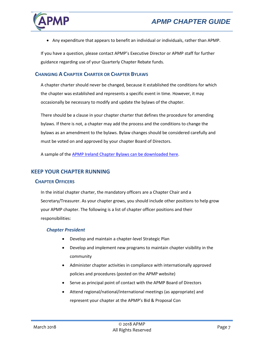

• Any expenditure that appears to benefit an individual or individuals, rather than APMP.

If you have a question, please contact APMP's Executive Director or APMP staff for further guidance regarding use of your Quarterly Chapter Rebate funds.

# <span id="page-10-0"></span>**CHANGING A CHAPTER CHARTER OR CHAPTER BYLAWS**

A chapter charter should never be changed, because it established the conditions for which the chapter was established and represents a specific event in time. However, it may occasionally be necessary to modify and update the bylaws of the chapter.

There should be a clause in your chapter charter that defines the procedure for amending bylaws. If there is not, a chapter may add the process and the conditions to change the bylaws as an amendment to the bylaws. Bylaw changes should be considered carefully and must be voted on and approved by your chapter Board of Directors.

A sample of the [APMP Ireland Chapter Bylaws can be downloaded here.](https://www.apmp.org/resource/collection/E7505429-0AAA-4D71-9BEC-F1AFE6C98992/Ireland_Charter_Petition.docx)

# <span id="page-10-1"></span>**KEEP YOUR CHAPTER RUNNING**

#### <span id="page-10-2"></span>**CHAPTER OFFICERS**

In the initial chapter charter, the mandatory officers are a Chapter Chair and a Secretary/Treasurer. As your chapter grows, you should include other positions to help grow your APMP chapter. The following is a list of chapter officer positions and their responsibilities:

#### <span id="page-10-3"></span>*Chapter President*

- Develop and maintain a chapter-level Strategic Plan
- Develop and implement new programs to maintain chapter visibility in the community
- Administer chapter activities in compliance with internationally approved policies and procedures (posted on the APMP website)
- Serve as principal point of contact with the APMP Board of Directors
- Attend regional/national/international meetings (as appropriate) and represent your chapter at the APMP's Bid & Proposal Con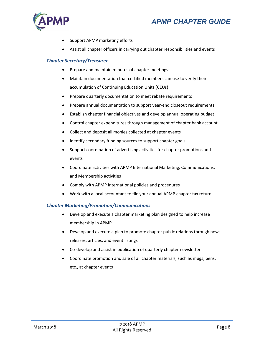

- Support APMP marketing efforts
- Assist all chapter officers in carrying out chapter responsibilities and events

## <span id="page-11-0"></span>*Chapter Secretary/Treasurer*

- Prepare and maintain minutes of chapter meetings
- Maintain documentation that certified members can use to verify their accumulation of Continuing Education Units (CEUs)
- Prepare quarterly documentation to meet rebate requirements
- Prepare annual documentation to support year-end closeout requirements
- Establish chapter financial objectives and develop annual operating budget
- Control chapter expenditures through management of chapter bank account
- Collect and deposit all monies collected at chapter events
- Identify secondary funding sources to support chapter goals
- Support coordination of advertising activities for chapter promotions and events
- Coordinate activities with APMP International Marketing, Communications, and Membership activities
- Comply with APMP International policies and procedures
- Work with a local accountant to file your annual APMP chapter tax return

#### <span id="page-11-1"></span>*Chapter Marketing/Promotion/Communications*

- Develop and execute a chapter marketing plan designed to help increase membership in APMP
- Develop and execute a plan to promote chapter public relations through news releases, articles, and event listings
- Co-develop and assist in publication of quarterly chapter newsletter
- <span id="page-11-2"></span>• Coordinate promotion and sale of all chapter materials, such as mugs, pens, etc., at chapter events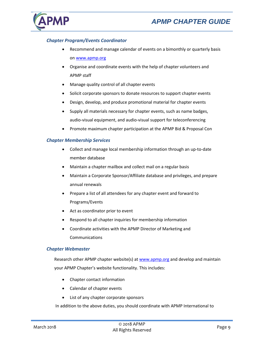

## *Chapter Program/Events Coordinator*

- Recommend and manage calendar of events on a bimonthly or quarterly basis on [www.apmp.org](http://www.apmp.org/)
- Organise and coordinate events with the help of chapter volunteers and APMP staff
- Manage quality control of all chapter events
- Solicit corporate sponsors to donate resources to support chapter events
- Design, develop, and produce promotional material for chapter events
- Supply all materials necessary for chapter events, such as name badges, audio-visual equipment, and audio-visual support for teleconferencing
- Promote maximum chapter participation at the APMP Bid & Proposal Con

#### <span id="page-12-0"></span>*Chapter Membership Services*

- Collect and manage local membership information through an up-to-date member database
- Maintain a chapter mailbox and collect mail on a regular basis
- Maintain a Corporate Sponsor/Affiliate database and privileges, and prepare annual renewals
- Prepare a list of all attendees for any chapter event and forward to Programs/Events
- Act as coordinator prior to event
- Respond to all chapter inquiries for membership information
- Coordinate activities with the APMP Director of Marketing and Communications

#### <span id="page-12-1"></span>*Chapter Webmaster*

Research other APMP chapter website(s) at [www.apmp.org](http://www.apmp.org/) and develop and maintain your APMP Chapter's website functionality. This includes:

- Chapter contact information
- Calendar of chapter events
- List of any chapter corporate sponsors

In addition to the above duties, you should coordinate with APMP International to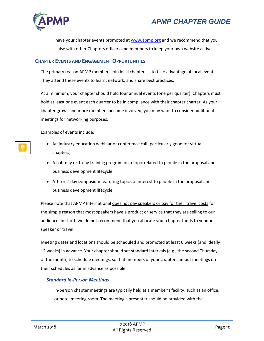

have your chapter events promoted a[t www.apmp.org](http://www.apmp.org/) and we recommend that you liaise with other Chapters officers and members to keep your own website active

## <span id="page-13-0"></span>**CHAPTER EVENTS AND ENGAGEMENT OPPORTUNITIES**

The primary reason APMP members join local chapters is to take advantage of local events. They attend these events to learn, network, and share best practices.

At a minimum, your chapter should hold four annual events (one per quarter). Chapters must hold at least one event each quarter to be in compliance with their chapter charter. As your chapter grows and more members become involved, you may want to consider additional meetings for networking purposes.

Examples of events include:

- An industry education webinar or conference call (particularly good for virtual chapters)
- A half-day or 1-day training program on a topic related to people in the proposal and business development lifecycle
- A 1- or 2-day symposium featuring topics of interest to people in the proposal and business development lifecycle

Please note that APMP International does not pay speakers or pay for their travel costs for the simple reason that most speakers have a product or service that they are selling to our audience. In short, we do not recommend that you allocate your chapter funds to vendor speaker or travel.

Meeting dates and locations should be scheduled and promoted at least 6 weeks (and ideally 12 weeks) in advance. Your chapter should set standard intervals (e.g., the second Thursday of the month) to schedule meetings, so that members of your chapter can put meetings on their schedules as far in advance as possible.

#### <span id="page-13-1"></span>*Standard In-Person Meetings*

In-person chapter meetings are typically held at a member's facility, such as an office, or hotel meeting room. The meeting's presenter should be provided with the

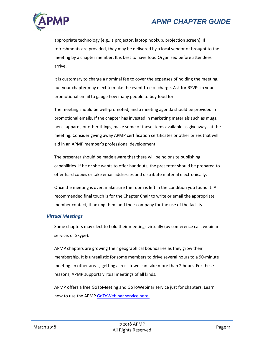

appropriate technology (e.g., a projector, laptop hookup, projection screen). If refreshments are provided, they may be delivered by a local vendor or brought to the meeting by a chapter member. It is best to have food Organised before attendees arrive.

It is customary to charge a nominal fee to cover the expenses of holding the meeting, but your chapter may elect to make the event free of charge. Ask for RSVPs in your promotional email to gauge how many people to buy food for.

The meeting should be well-promoted, and a meeting agenda should be provided in promotional emails. If the chapter has invested in marketing materials such as mugs, pens, apparel, or other things, make some of these items available as giveaways at the meeting. Consider giving away APMP certification certificates or other prizes that will aid in an APMP member's professional development.

The presenter should be made aware that there will be no onsite publishing capabilities. If he or she wants to offer handouts, the presenter should be prepared to offer hard copies or take email addresses and distribute material electronically.

Once the meeting is over, make sure the room is left in the condition you found it. A recommended final touch is for the Chapter Chair to write or email the appropriate member contact, thanking them and their company for the use of the facility.

#### <span id="page-14-0"></span>*Virtual Meetings*

Some chapters may elect to hold their meetings virtually (by conference call, webinar service, or Skype).

APMP chapters are growing their geographical boundaries as they grow their membership. It is unrealistic for some members to drive several hours to a 90-minute meeting. In other areas, getting across town can take more than 2 hours. For these reasons, APMP supports virtual meetings of all kinds.

APMP offers a free GoToMeeting and GoToWebinar service just for chapters. Learn how to use the APMP [GoToWebinar service here.](https://cdn.ymaws.com/www.apmp.org/resource/collection/4007E9A7-2878-4782-B39C-9E1DCA87E7CF/APMP_GotoWebinar_Instructions_2017-10.pdf)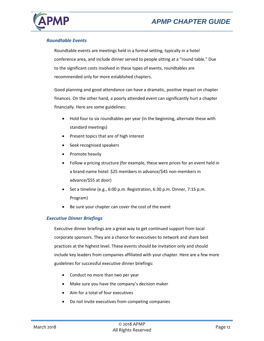

## <span id="page-15-0"></span>*Roundtable Events*

Roundtable events are meetings held in a formal setting, typically in a hotel conference area, and include dinner served to people sitting at a "round table." Due to the significant costs involved in these types of events, roundtables are recommended only for more established chapters.

Good planning and good attendance can have a dramatic, positive impact on chapter finances. On the other hand, a poorly attended event can significantly hurt a chapter financially. Here are some guidelines:

- Hold four to six roundtables per year (in the beginning, alternate these with standard meetings)
- Present topics that are of high interest
- Seek recognised speakers
- Promote heavily
- Follow a pricing structure (for example, these were prices for an event held in a brand-name hotel: \$25 members in advance/\$45 non-members in advance/\$55 at door)
- Set a timeline (e.g., 6:00 p.m. Registration, 6:30 p.m. Dinner, 7:15 p.m. Program)
- Be sure your chapter can cover the cost of the event

#### <span id="page-15-1"></span>*Executive Dinner Briefings*

Executive dinner briefings are a great way to get continued support from local corporate sponsors. They are a chance for executives to network and share best practices at the highest level. These events should be invitation only and should include key leaders from companies affiliated with your chapter. Here are a few more guidelines for successful executive dinner briefings:

- Conduct no more than two per year
- Make sure you have the company's decision maker
- Aim for a total of four executives
- Do not invite executives from competing companies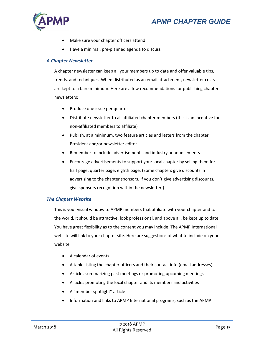

- Make sure your chapter officers attend
- Have a minimal, pre-planned agenda to discuss

## <span id="page-16-0"></span>*A Chapter Newsletter*

A chapter newsletter can keep all your members up to date and offer valuable tips, trends, and techniques. When distributed as an email attachment, newsletter costs are kept to a bare minimum. Here are a few recommendations for publishing chapter newsletters:

- Produce one issue per quarter
- Distribute newsletter to all affiliated chapter members (this is an incentive for non-affiliated members to affiliate)
- Publish, at a minimum, two feature articles and letters from the chapter President and/or newsletter editor
- Remember to include advertisements and industry announcements
- Encourage advertisements to support your local chapter by selling them for half page, quarter page, eighth page. (Some chapters give discounts in advertising to the chapter sponsors. If you don't give advertising discounts, give sponsors recognition within the newsletter.)

#### <span id="page-16-1"></span>*The Chapter Website*

This is your visual window to APMP members that affiliate with your chapter and to the world. It should be attractive, look professional, and above all, be kept up to date. You have great flexibility as to the content you may include. The APMP International website will link to your chapter site. Here are suggestions of what to include on your website:

- A calendar of events
- A table listing the chapter officers and their contact info (email addresses)
- Articles summarizing past meetings or promoting upcoming meetings
- Articles promoting the local chapter and its members and activities
- A "member spotlight" article
- Information and links to APMP International programs, such as the APMP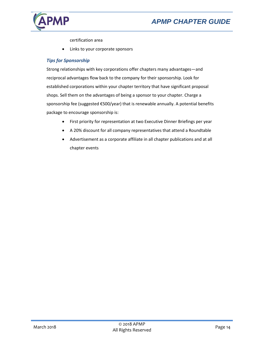

certification area

Links to your corporate sponsors

## <span id="page-17-0"></span>*Tips for Sponsorship*

Strong relationships with key corporations offer chapters many advantages—and reciprocal advantages flow back to the company for their sponsorship. Look for established corporations within your chapter territory that have significant proposal shops. Sell them on the advantages of being a sponsor to your chapter. Charge a sponsorship fee (suggested €500/year) that is renewable annually. A potential benefits package to encourage sponsorship is:

- First priority for representation at two Executive Dinner Briefings per year
- A 20% discount for all company representatives that attend a Roundtable
- <span id="page-17-1"></span>• Advertisement as a corporate affiliate in all chapter publications and at all chapter events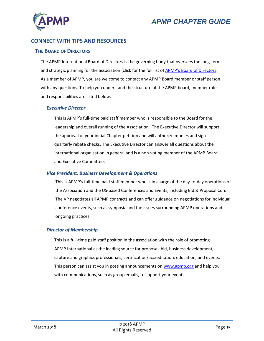

# **CONNECT WITH TIPS AND RESOURCES**

#### <span id="page-18-0"></span>**THE BOARD OF DIRECTORS**

The APMP International Board of Directors is the governing body that oversees the long-term and strategic planning for the association (click for the full list of APMP'[s Board of Directors.](http://www.apmp.org/?page=apmpBoardOfDirectors) As a member of APMP, you are welcome to contact any APMP Board member or staff person with any questions. To help you understand the structure of the APMP board, member roles and responsibilities are listed below.

#### <span id="page-18-1"></span>*Executive Director*

This is APMP's full-time paid staff member who is responsible to the Board for the leadership and overall running of the Association. The Executive Director will support the approval of your initial Chapter petition and will authorize monies and sign quarterly rebate checks. The Executive Director can answer all questions about the international organisation in general and is a non-voting member of the APMP Board and Executive Committee.

#### <span id="page-18-2"></span>*Vice President, Business Development & Operations*

This is APMP's full-time paid staff member who is in charge of the day-to-day operations of the Association and the US-based Conferences and Events, including Bid & Proposal Con. The VP negotiates all APMP contracts and can offer guidance on negotiations for individual conference events, such as symposia and the issues surrounding APMP operations and ongoing practices.

#### <span id="page-18-3"></span>*Director of Membership*

This is a full-time paid staff position in the association with the role of promoting APMP International as the leading source for proposal, bid, business development, capture and graphics professionals, certification/accreditation, education, and events. This person can assist you in posting announcements on [www.apmp.org](http://www.apmp.org/) and help you with communications, such as group emails, to support your events.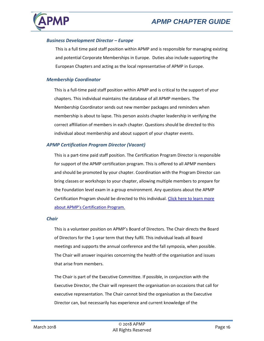

#### <span id="page-19-0"></span>*Business Development Director – Europe*

This is a full time paid staff position within APMP and is responsible for managing existing and potential Corporate Memberships in Europe. Duties also include supporting the European Chapters and acting as the local representative of APMP in Europe.

#### <span id="page-19-1"></span>*Membership Coordinator*

This is a full-time paid staff position within APMP and is critical to the support of your chapters. This individual maintains the database of all APMP members. The Membership Coordinator sends out new member packages and reminders when membership is about to lapse. This person assists chapter leadership in verifying the correct affiliation of members in each chapter. Questions should be directed to this individual about membership and about support of your chapter events.

#### <span id="page-19-2"></span>*APMP Certification Program Director (Vacant)*

This is a part-time paid staff position. The Certification Program Director is responsible for support of the APMP certification program. This is offered to all APMP members and should be promoted by your chapter. Coordination with the Program Director can bring classes or workshops to your chapter, allowing multiple members to prepare for the Foundation level exam in a group environment. Any questions about the APMP Certification Program should be directed to this individual. Click here to learn more [about APMP's Certification Program.](http://www.apmp.org/default.asp?page=AccreditationProgram)

#### <span id="page-19-3"></span>*Chair*

This is a volunteer position on APMP's Board of Directors. The Chair directs the Board of Directors for the 1-year term that they fulfil. This individual leads all Board meetings and supports the annual conference and the fall symposia, when possible. The Chair will answer inquiries concerning the health of the organisation and issues that arise from members.

The Chair is part of the Executive Committee. If possible, in conjunction with the Executive Director, the Chair will represent the organisation on occasions that call for executive representation. The Chair cannot bind the organisation as the Executive Director can, but necessarily has experience and current knowledge of the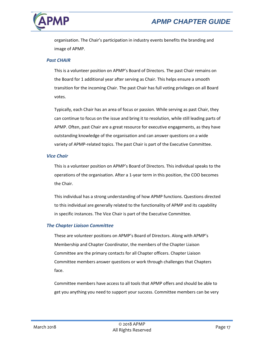



organisation. The Chair's participation in industry events benefits the branding and image of APMP.

#### <span id="page-20-0"></span>*Past CHAIR*

This is a volunteer position on APMP's Board of Directors. The past Chair remains on the Board for 1 additional year after serving as Chair. This helps ensure a smooth transition for the incoming Chair. The past Chair has full voting privileges on all Board votes.

Typically, each Chair has an area of focus or passion. While serving as past Chair, they can continue to focus on the issue and bring it to resolution, while still leading parts of APMP. Often, past Chair are a great resource for executive engagements, as they have outstanding knowledge of the organisation and can answer questions on a wide variety of APMP-related topics. The past Chair is part of the Executive Committee.

#### <span id="page-20-1"></span>*Vice Chair*

This is a volunteer position on APMP's Board of Directors. This individual speaks to the operations of the organisation. After a 1-year term in this position, the COO becomes the Chair.

This individual has a strong understanding of how APMP functions. Questions directed to this individual are generally related to the functionality of APMP and its capability in specific instances. The Vice Chair is part of the Executive Committee.

#### <span id="page-20-2"></span>*The Chapter Liaison Committee*

These are volunteer positions on APMP's Board of Directors. Along with APMP's Membership and Chapter Coordinator, the members of the Chapter Liaison Committee are the primary contacts for all Chapter officers. Chapter Liaison Committee members answer questions or work through challenges that Chapters face.

Committee members have access to all tools that APMP offers and should be able to get you anything you need to support your success. Committee members can be very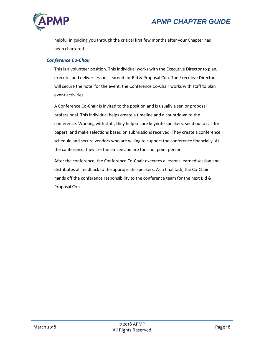



helpful in guiding you through the critical first few months after your Chapter has been chartered.

#### <span id="page-21-0"></span>*Conference Co-Chair*

This is a volunteer position. This individual works with the Executive Director to plan, execute, and deliver lessons learned for Bid & Proposal Con. The Executive Director will secure the hotel for the event; the Conference Co-Chair works with staff to plan event activities.

A Conference Co-Chair is invited to the position and is usually a senior proposal professional. This individual helps create a timeline and a countdown to the conference. Working with staff, they help secure keynote speakers, send out a call for papers, and make selections based on submissions received. They create a conference schedule and secure vendors who are willing to support the conference financially. At the conference, they are the emcee and are the chef point person.

<span id="page-21-1"></span>After the conference, the Conference Co-Chair executes a lessons learned session and distributes all feedback to the appropriate speakers. As a final task, the Co-Chair hands off the conference responsibility to the conference team for the next Bid & Proposal Con.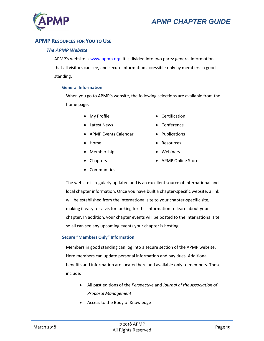

# <span id="page-22-0"></span>**APMP RESOURCES FOR YOU TO USE**

#### *The APMP Website*

APMP's website is www.apmp.org. It is divided into two parts: general information that all visitors can see, and secure information accessible only by members in good standing.

#### <span id="page-22-1"></span>**General Information**

When you go to APMP's website, the following selections are available from the home page:

• My Profile

• Certification • Conference

• Publications

• Resources

• Webinars

- Latest News
- APMP Events Calendar
- Home
- Membership
- **Chapters**

• APMP Online Store

- **Communities**
- The website is regularly updated and is an excellent source of international and local chapter information. Once you have built a chapter-specific website, a link will be established from the international site to your chapter-specific site, making it easy for a visitor looking for this information to learn about your chapter. In addition, your chapter events will be posted to the international site so all can see any upcoming events your chapter is hosting.

#### <span id="page-22-2"></span>**Secure "Members Only" Information**

Members in good standing can log into a secure section of the APMP website. Here members can update personal information and pay dues. Additional benefits and information are located here and available only to members. These include:

- All past editions of the *Perspective* and *Journal of the Association of Proposal Management*
- Access to the Body of Knowledge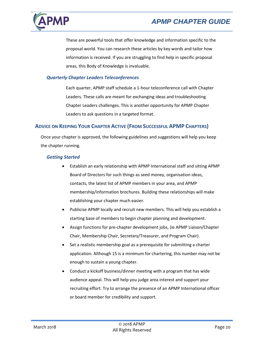

These are powerful tools that offer knowledge and information specific to the proposal world. You can research these articles by key words and tailor how information is received. If you are struggling to find help in specific proposal areas, this Body of Knowledge is invaluable.

#### <span id="page-23-0"></span>*Quarterly Chapter Leaders Teleconferences*

Each quarter, APMP staff schedule a 1-hour teleconference call with Chapter Leaders. These calls are meant for exchanging ideas and troubleshooting Chapter Leaders challenges. This is another opportunity for APMP Chapter Leaders to ask questions in a targeted format.

# <span id="page-23-1"></span>**ADVICE ON KEEPING YOUR CHAPTER ACTIVE (FROM SUCCESSFUL APMP CHAPTERS)**

Once your chapter is approved, the following guidelines and suggestions will help you keep the chapter running.

#### <span id="page-23-2"></span>*Getting Started*

- Establish an early relationship with APMP International staff and sitting APMP Board of Directors for such things as seed money, organisation ideas, contacts, the latest list of APMP members in your area, and APMP membership/information brochures. Building these relationships will make establishing your chapter much easier.
- Publicise APMP locally and recruit new members. This will help you establish a starting base of members to begin chapter planning and development.
- Assign functions for pre-chapter development jobs, (ie APMP Liaison/Chapter Chair, Membership Chair, Secretary/Treasurer, and Program Chair).
- Set a realistic membership goal as a prerequisite for submitting a charter application. Although 15 is a minimum for chartering, this number may not be enough to sustain a young chapter.
- Conduct a kickoff business/dinner meeting with a program that has wide audience appeal. This will help you judge area interest and support your recruiting effort. Try to arrange the presence of an APMP International officer or board member for credibility and support.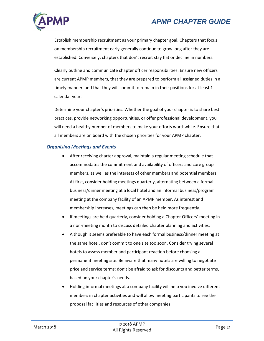

Establish membership recruitment as your primary chapter goal. Chapters that focus on membership recruitment early generally continue to grow long after they are established. Conversely, chapters that don't recruit stay flat or decline in numbers.

Clearly outline and communicate chapter officer responsibilities. Ensure new officers are current APMP members, that they are prepared to perform all assigned duties in a timely manner, and that they will commit to remain in their positions for at least 1 calendar year.

Determine your chapter's priorities. Whether the goal of your chapter is to share best practices, provide networking opportunities, or offer professional development, you will need a healthy number of members to make your efforts worthwhile. Ensure that all members are on board with the chosen priorities for your APMP chapter.

#### <span id="page-24-0"></span>*Organising Meetings and Events*

- After receiving charter approval, maintain a regular meeting schedule that accommodates the commitment and availability of officers and core group members, as well as the interests of other members and potential members. At first, consider holding meetings quarterly, alternating between a formal business/dinner meeting at a local hotel and an informal business/program meeting at the company facility of an APMP member. As interest and membership increases, meetings can then be held more frequently.
- If meetings are held quarterly, consider holding a Chapter Officers' meeting in a non-meeting month to discuss detailed chapter planning and activities.
- Although it seems preferable to have each formal business/dinner meeting at the same hotel, don't commit to one site too soon. Consider trying several hotels to assess member and participant reaction before choosing a permanent meeting site. Be aware that many hotels are willing to negotiate price and service terms; don't be afraid to ask for discounts and better terms, based on your chapter's needs.
- Holding informal meetings at a company facility will help you involve different members in chapter activities and will allow meeting participants to see the proposal facilities and resources of other companies.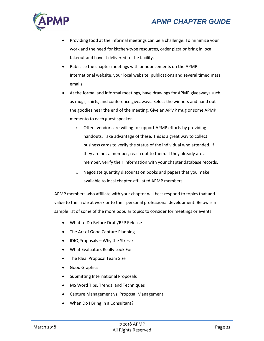

- Providing food at the informal meetings can be a challenge. To minimize your work and the need for kitchen-type resources, order pizza or bring in local takeout and have it delivered to the facility.
- Publicise the chapter meetings with announcements on the APMP International website, your local website, publications and several timed mass emails.
- At the formal and informal meetings, have drawings for APMP giveaways such as mugs, shirts, and conference giveaways. Select the winners and hand out the goodies near the end of the meeting. Give an APMP mug or some APMP memento to each guest speaker.
	- o Often, vendors are willing to support APMP efforts by providing handouts. Take advantage of these. This is a great way to collect business cards to verify the status of the individual who attended. If they are not a member, reach out to them. If they already are a member, verify their information with your chapter database records.
	- o Negotiate quantity discounts on books and papers that you make available to local chapter-affiliated APMP members.

APMP members who affiliate with your chapter will best respond to topics that add value to their role at work or to their personal professional development. Below is a sample list of some of the more popular topics to consider for meetings or events:

- What to Do Before Draft/RFP Release
- The Art of Good Capture Planning
- IDIQ Proposals Why the Stress?
- What Evaluators Really Look For
- The Ideal Proposal Team Size
- Good Graphics
- Submitting International Proposals
- MS Word Tips, Trends, and Techniques
- Capture Management vs. Proposal Management
- When Do I Bring In a Consultant?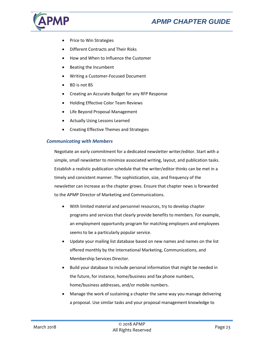

- Price to Win Strategies
- Different Contracts and Their Risks
- How and When to Influence the Customer
- Beating the Incumbent
- Writing a Customer-Focused Document
- BD is not BS
- Creating an Accurate Budget for any RFP Response
- Holding Effective Color Team Reviews
- Life Beyond Proposal Management
- Actually Using Lessons Learned
- Creating Effective Themes and Strategies

#### <span id="page-26-0"></span>*Communicating with Members*

Negotiate an early commitment for a dedicated newsletter writer/editor. Start with a simple, small newsletter to minimize associated writing, layout, and publication tasks. Establish a realistic publication schedule that the writer/editor thinks can be met in a timely and consistent manner. The sophistication, size, and frequency of the newsletter can increase as the chapter grows. Ensure that chapter news is forwarded to the APMP Director of Marketing and Communications.

- With limited material and personnel resources, try to develop chapter programs and services that clearly provide benefits to members. For example, an employment opportunity program for matching employers and employees seems to be a particularly popular service.
- Update your mailing list database based on new names and names on the list offered monthly by the International Marketing, Communications, and Membership Services Director.
- Build your database to include personal information that might be needed in the future, for instance, home/business and fax phone numbers, home/business addresses, and/or mobile numbers.
- Manage the work of sustaining a chapter the same way you manage delivering a proposal. Use similar tasks and your proposal management knowledge to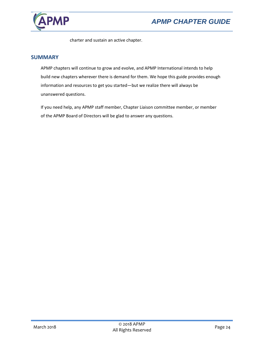

charter and sustain an active chapter.

# <span id="page-27-0"></span>**SUMMARY**

APMP chapters will continue to grow and evolve, and APMP International intends to help build new chapters wherever there is demand for them. We hope this guide provides enough information and resources to get you started—but we realize there will always be unanswered questions.

If you need help, any APMP staff member, Chapter Liaison committee member, or member of the APMP Board of Directors will be glad to answer any questions.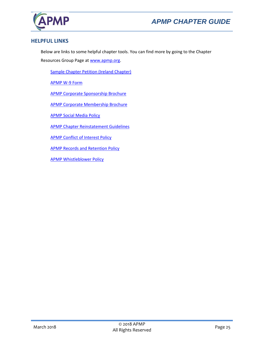



# <span id="page-28-0"></span>**HELPFUL LINKS**

Below are links to some helpful chapter tools. You can find more by going to the Chapter

Resources Group Page a[t www.apmp.org.](http://www.apmp.org/)

[Sample Chapter Petition](http://www.apmp.org/resource/collection/790B2288-AC2B-451B-960C-4C2EF3EC039A/APMP_Ireland_Charter_Petition_Draft.pdf) (Ireland Chapter)

[APMP W-9 Form](http://www.apmp.org/resource/collection/790B2288-AC2B-451B-960C-4C2EF3EC039A/APMP_W9_1109.pdf)

[APMP Corporate Sponsorship Brochure](http://c.ymcdn.com/sites/www.apmp.org/resource/resmgr/Docs/APMP_Corp_Sponsorships_Broch.pdf)

[APMP Corporate Membership Brochure](http://c.ymcdn.com/sites/www.apmp.org/resource/resmgr/Docs/APMP_Corp_Memberships_Brochu.pdf) 

[APMP Social Media Policy](http://www.apmp.org/resource/collection/790B2288-AC2B-451B-960C-4C2EF3EC039A/APMP_Social_Media_Policy.pdf)

[APMP Chapter Reinstatement Guidelines](http://www.apmp.org/resource/collection/790B2288-AC2B-451B-960C-4C2EF3EC039A/APMP_Chapter_Reinstatement_Guidelines.pdf)

[APMP Conflict of Interest Policy](http://www.apmp.org/resource/collection/790B2288-AC2B-451B-960C-4C2EF3EC039A/APMP_Conflict_of_Interest_Policy.pdf)

[APMP Records and Retention Policy](http://www.apmp.org/resource/collection/790B2288-AC2B-451B-960C-4C2EF3EC039A/APMP_Records_and_Retention_Policy.pdf)

[APMP Whistleblower Policy](http://www.apmp.org/resource/collection/790B2288-AC2B-451B-960C-4C2EF3EC039A/APMP_Whistleblower_Policy.pdf)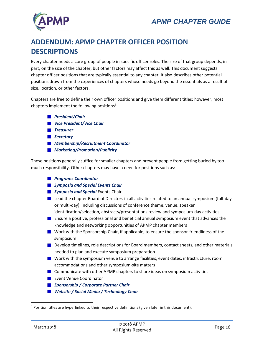

# <span id="page-29-0"></span>**ADDENDUM: APMP CHAPTER OFFICER POSITION DESCRIPTIONS**

Every chapter needs a core group of people in specific officer roles. The size of that group depends, in part, on the size of the chapter, but other factors may affect this as well. This document suggests chapter officer positions that are typically essential to any chapter. It also describes other potential positions drawn from the experiences of chapters whose needs go beyond the essentials as a result of size, location, or other factors.

Chapters are free to define their own officer positions and give them different titles; however, most chapters implement the following positions<sup>1</sup>:

- *[President/Chair](#page-31-1)*
- *[Vice President/Vice Chair](#page-31-2)*
- *[Treasurer](#page-31-3)*
- *[Secretary](#page-31-4)*
- *[Membership/Recruitment Coordinator](#page-32-0)*
- *[Marketing/Promotion/Publicity](#page-32-1)*

These positions generally suffice for smaller chapters and prevent people from getting buried by too much responsibility. Other chapters may have a need for positions such as:

- *[Programs Coordinator](#page-32-2)*
- *[Symposia and Special Events Chair](#page-32-3)*
- **B** [Symposia and Special](#page-32-3) Events Chair
- **Lead the chapter Board of Directors in all activities related to an annual symposium (full-day** [or multi-day\), including discussions of conference theme, venue, speaker](#page-32-3)  [identification/selection, abstracts/presentations review and symposium-day activities](#page-32-3)
- **E** Ensure a positive, professional and beneficial annual symposium event that advances the [knowledge and networking opportunities of APMP chapter members](#page-32-3)
- **Noth** with the Sponsorship Chair, if applicable, to ensure the sponsor-friendliness of the [symposium](#page-32-3)
- **Develop timelines, role descriptions for Board members, contact sheets, and other materials** [needed to plan and execute symposium preparation](#page-32-3)
- **N** Work with the symposium venue to arrange facilities, event dates, infrastructure, room [accommodations and other symposium-site matters](#page-32-3)
- **[Communicate with other APMP chapters to share ideas on symposium activities](#page-32-3)**
- **Exent Venue Coordinator**
- *[Sponsorship / Corporate Partner Chair](#page-33-1)*
- *[Website / Social Media / Technology Chair](#page-33-2)*

 $\overline{a}$ 

<sup>&</sup>lt;sup>1</sup> Position titles are hyperlinked to their respective definitions (given later in this document).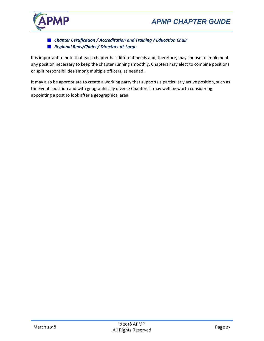



*Chapter Certification / [Accreditation and Training / Education Chair](#page-34-0) [Regional Reps/Chairs / Directors-at-Large](#page-34-1)*

It is important to note that each chapter has different needs and, therefore, may choose to implement any position necessary to keep the chapter running smoothly. Chapters may elect to combine positions or split responsibilities among multiple officers, as needed.

It may also be appropriate to create a working party that supports a particularly active position, such as the Events position and with geographically diverse Chapters it may well be worth considering appointing a post to look after a geographical area.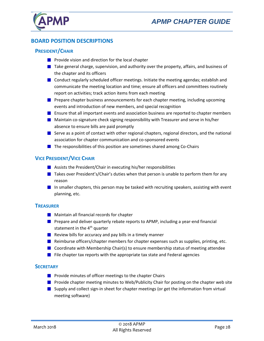

# <span id="page-31-0"></span>**BOARD POSITION DESCRIPTIONS**

## <span id="page-31-1"></span>**PRESIDENT/CHAIR**

- **Provide vision and direction for the local chapter**
- $\blacksquare$  Take general charge, supervision, and authority over the property, affairs, and business of the chapter and its officers
- $\blacksquare$  Conduct regularly scheduled officer meetings. Initiate the meeting agendas; establish and communicate the meeting location and time; ensure all officers and committees routinely report on activities; track action items from each meeting
- **P** Prepare chapter business announcements for each chapter meeting, including upcoming events and introduction of new members, and special recognition
- **E** Ensure that all important events and association business are reported to chapter members
- **Maintain co-signature check signing responsibility with Treasurer and serve in his/her** absence to ensure bills are paid promptly
- Serve as a point of contact with other regional chapters, regional directors, and the national association for chapter communication and co-sponsored events
- $\blacksquare$  The responsibilities of this position are sometimes shared among Co-Chairs

#### <span id="page-31-2"></span>**VICE PRESIDENT/VICE CHAIR**

- **Assists the President/Chair in executing his/her responsibilities**
- $\blacksquare$  Takes over President's/Chair's duties when that person is unable to perform them for any reason
- In smaller chapters, this person may be tasked with recruiting speakers, assisting with event planning, etc.

#### <span id="page-31-3"></span>**TREASURER**

- **Maintain all financial records for chapter**
- **Prepare and deliver quarterly rebate reports to APMP, including a year-end financial** statement in the  $4<sup>th</sup>$  quarter
- Review bills for accuracy and pay bills in a timely manner
- **Reimburse officers/chapter members for chapter expenses such as supplies, printing, etc.**
- $\blacksquare$  Coordinate with Membership Chair(s) to ensure membership status of meeting attendee
- $\blacksquare$  File chapter tax reports with the appropriate tax state and Federal agencies

#### <span id="page-31-4"></span>**SECRETARY**

- **Provide minutes of officer meetings to the chapter Chairs**
- **Provide chapter meeting minutes to Web/Publicity Chair for posting on the chapter web site**
- **Supply and collect sign-in sheet for chapter meetings (or get the information from virtual** meeting software)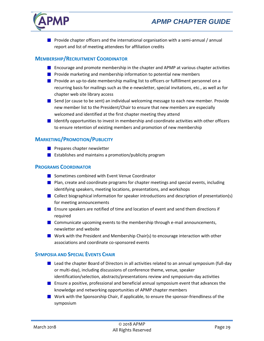



**Provide chapter officers and the international organisation with a semi-annual / annual** report and list of meeting attendees for affiliation credits

#### <span id="page-32-0"></span>**MEMBERSHIP/RECRUITMENT COORDINATOR**

- **E** Encourage and promote membership in the chapter and APMP at various chapter activities
- **Provide marketing and membership information to potential new members**
- **P** Provide an up-to-date membership mailing list to officers or fulfillment personnel on a recurring basis for mailings such as the e-newsletter, special invitations, etc., as well as for chapter web site library access
- $\blacksquare$  Send (or cause to be sent) an individual welcoming message to each new member. Provide new member list to the President/Chair to ensure that new members are especially welcomed and identified at the first chapter meeting they attend
- **I** Identify opportunities to invest in membership and coordinate activities with other officers to ensure retention of existing members and promotion of new membership

## <span id="page-32-1"></span>**MARKETING/PROMOTION/PUBLICITY**

- **Prepares chapter newsletter**
- **E** Establishes and maintains a promotion/publicity program

#### <span id="page-32-2"></span>**PROGRAMS COORDINATOR**

- **Sometimes combined with Event Venue Coordinator**
- **Plan, create and coordinate programs for chapter meetings and special events, including** identifying speakers, meeting locations, presentations, and workshops
- Collect biographical information for speaker introductions and description of presentation(s) for meeting announcements
- **E** Ensure speakers are notified of time and location of event and send them directions if required
- $\blacksquare$  Communicate upcoming events to the membership through e-mail announcements, newsletter and website
- **N** Work with the President and Membership Chair(s) to encourage interaction with other associations and coordinate co-sponsored events

#### <span id="page-32-3"></span>**SYMPOSIA AND SPECIAL EVENTS CHAIR**

- $\blacksquare$  Lead the chapter Board of Directors in all activities related to an annual symposium (full-day or multi-day), including discussions of conference theme, venue, speaker identification/selection, abstracts/presentations review and symposium-day activities
- **E** Ensure a positive, professional and beneficial annual symposium event that advances the knowledge and networking opportunities of APMP chapter members
- **Mork with the Sponsorship Chair, if applicable, to ensure the sponsor-friendliness of the** symposium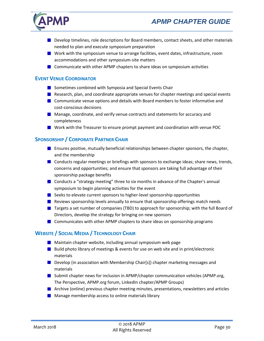

- **Develop timelines, role descriptions for Board members, contact sheets, and other materials** needed to plan and execute symposium preparation
- **N** Work with the symposium venue to arrange facilities, event dates, infrastructure, room accommodations and other symposium-site matters
- $\blacksquare$  Communicate with other APMP chapters to share ideas on symposium activities

#### <span id="page-33-0"></span>**EVENT VENUE COORDINATOR**

- Sometimes combined with [Symposia and Special Events Chair](#page-32-3)
- **Research, plan, and coordinate appropriate venues for chapter meetings and special events**
- **Communicate venue options and details with Board members to foster informative and** cost-conscious decisions
- **Manage, coordinate, and verify venue contracts and statements for accuracy and** completeness
- **Not with the Treasurer to ensure prompt payment and coordination with venue POC**

# <span id="page-33-1"></span>**SPONSORSHIP / CORPORATE PARTNER CHAIR**

- **E** Ensures positive, mutually beneficial relationships between chapter sponsors, the chapter, and the membership
- **Conducts regular meetings or briefings with sponsors to exchange ideas; share news, trends,** concerns and opportunities; and ensure that sponsors are taking full advantage of their sponsorship package benefits
- Conducts a "strategy meeting" three to six months in advance of the Chapter's annual symposium to begin planning activities for the event
- $\blacksquare$  Seeks to elevate current sponsors to higher-level sponsorship opportunities
- **Reviews sponsorship levels annually to ensure that sponsorship offerings match needs**
- **The Targets a set number of companies (TBD) to approach for sponsorship; with the full Board of** Directors, develop the strategy for bringing on new sponsors
- **Communicates with other APMP chapters to share ideas on sponsorship programs**

# <span id="page-33-2"></span>**WEBSITE / SOCIAL MEDIA / TECHNOLOGY CHAIR**

- **Maintain chapter website, including annual symposium web page**
- Build photo library of meetings & events for use on web site and in print/electronic materials
- **Develop (in association with Membership Chair[s]) chapter marketing messages and** materials
- **Submit chapter news for inclusion in APMP/chapter communication vehicles (APMP.org,** The Perspective, APMP.org forum, LinkedIn chapter/APMP Groups)
- **Archive (online) previous chapter meeting minutes, presentations, newsletters and articles**
- $\blacksquare$  Manage membership access to online materials library